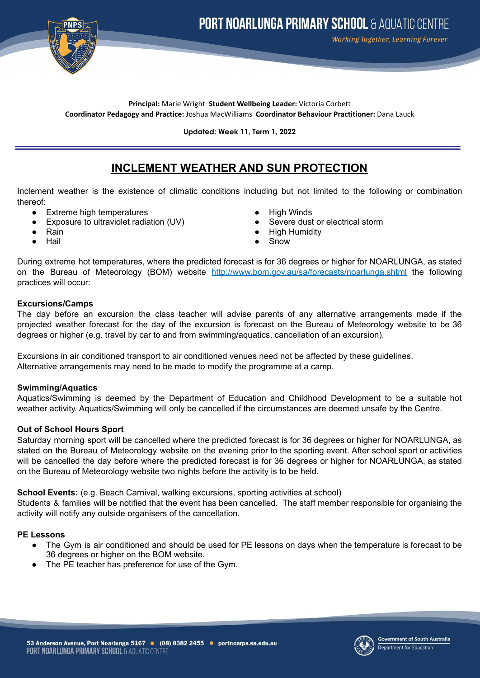

## **Principal:** Marie Wright **Student Wellbeing Leader:** Victoria Corbett **Coordinator Pedagogy and Practice:** Joshua MacWilliams **Coordinator Behaviour Practitioner:** Dana Lauck

**Updated: Week 11, Term 1, 2022**

# **INCLEMENT WEATHER AND SUN PROTECTION**

Inclement weather is the existence of climatic conditions including but not limited to the following or combination thereof:

- Extreme high temperatures High Winds
- Exposure to ultraviolet radiation (UV) Severe dust or electrical storm
- Rain
- Hail
- 
- 
- **High Humidity**
- Snow

During extreme hot temperatures, where the predicted forecast is for 36 degrees or higher for NOARLUNGA, as stated on the Bureau of Meteorology (BOM) website <http://www.bom.gov.au/sa/forecasts/noarlunga.shtml> the following practices will occur:

## **Excursions/Camps**

The day before an excursion the class teacher will advise parents of any alternative arrangements made if the projected weather forecast for the day of the excursion is forecast on the Bureau of Meteorology website to be 36 degrees or higher (e.g. travel by car to and from swimming/aquatics, cancellation of an excursion).

Excursions in air conditioned transport to air conditioned venues need not be affected by these guidelines. Alternative arrangements may need to be made to modify the programme at a camp.

## **Swimming/Aquatics**

Aquatics/Swimming is deemed by the Department of Education and Childhood Development to be a suitable hot weather activity. Aquatics/Swimming will only be cancelled if the circumstances are deemed unsafe by the Centre.

## **Out of School Hours Sport**

Saturday morning sport will be cancelled where the predicted forecast is for 36 degrees or higher for NOARLUNGA, as stated on the Bureau of Meteorology website on the evening prior to the sporting event. After school sport or activities will be cancelled the day before where the predicted forecast is for 36 degrees or higher for NOARLUNGA, as stated on the Bureau of Meteorology website two nights before the activity is to be held.

**School Events:** (e.g. Beach Carnival, walking excursions, sporting activities at school)

Students & families will be notified that the event has been cancelled. The staff member responsible for organising the activity will notify any outside organisers of the cancellation.

# **PE Lessons**

- The Gym is air conditioned and should be used for PE lessons on days when the temperature is forecast to be 36 degrees or higher on the BOM website.
- **●** The PE teacher has preference for use of the Gym.